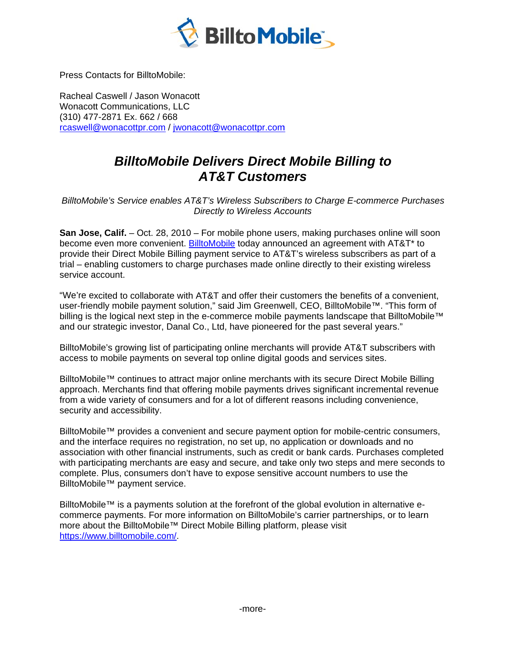

**Press Contacts for BilltoMobile:** 

Racheal Caswell / Jason Wonacott **Wonacott Communications, LLC** (310) 477-2871 Ex. 662 / 668 rcaswell@wonacottpr.com / jwonacott@wonacottpr.com

## **BilltoMobile Delivers Direct Mobile Billing to AT&T Customers**

BilltoMobile's Service enables AT&T's Wireless Subscribers to Charge E-commerce Purchases **Directly to Wireless Accounts** 

San Jose, Calif. - Oct. 28, 2010 - For mobile phone users, making purchases online will soon become even more convenient. BilltoMobile today announced an agreement with AT&T\* to provide their Direct Mobile Billing payment service to AT&T's wireless subscribers as part of a trial – enabling customers to charge purchases made online directly to their existing wireless service account.

"We're excited to collaborate with AT&T and offer their customers the benefits of a convenient, user-friendly mobile payment solution," said Jim Greenwell, CEO, BilltoMobile™. "This form of billing is the logical next step in the e-commerce mobile payments landscape that BilltoMobile™ and our strategic investor, Danal Co., Ltd, have pioneered for the past several years."

BilltoMobile's growing list of participating online merchants will provide AT&T subscribers with access to mobile payments on several top online digital goods and services sites.

BilltoMobile™ continues to attract major online merchants with its secure Direct Mobile Billing approach. Merchants find that offering mobile payments drives significant incremental revenue from a wide variety of consumers and for a lot of different reasons including convenience, security and accessibility.

BilltoMobile<sup>™</sup> provides a convenient and secure payment option for mobile-centric consumers, and the interface requires no registration, no set up, no application or downloads and no association with other financial instruments, such as credit or bank cards. Purchases completed with participating merchants are easy and secure, and take only two steps and mere seconds to complete. Plus, consumers don't have to expose sensitive account numbers to use the BilltoMobile™ payment service.

BilltoMobile™ is a payments solution at the forefront of the global evolution in alternative ecommerce payments. For more information on BilltoMobile's carrier partnerships, or to learn more about the BilltoMobile™ Direct Mobile Billing platform, please visit https://www.billtomobile.com/